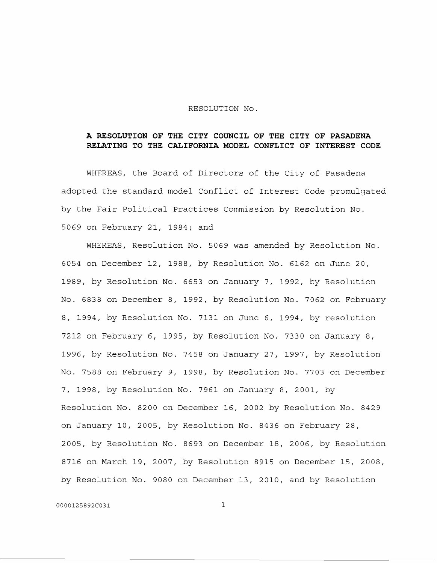## RESOLUTION No.

## **A RESOLUTION OF THE CITY COUNCIL OF THE CITY OF PASADENA RELATING TO THE CALIFORNIA MODEL CONFLICT OF INTEREST CODE**

WHEREAS, the Board of Directors of the City of Pasadena adopted the standard model Conflict of Interest Code promulgated by the Fair Political Practices Commission by Resolution No. 5069 on February 21, 1984; and

WHEREAS, Resolution No. 5069 was amended by Resolution No. 6054 on December 12, 1988, by Resolution No. 6162 on June 20, 1989, by Resolution No. 6653 on January 7, 1992, by Resolution No. 6838 on December 8, 1992, by Resolution No. 7062 on February 8, 1994, by Resolution No. 7131 on June 6, 1994, by resolution 7212 on February 6, 1995, by Resolution No. 7330 on January 8, 1996, by Resolution No. 7458 on January 27, 1997, by Resolution No. 7588 on February 9, 1998, by Resolution No. 7703 on December 7, 1998, by Resolution No. 7961 on January 8, 2001, by Resolution No. 8200 on December 16, 2002 by Resolution No. 8429 on January 10, 2005, by Resolution No. 8436 on February 28, 2005, by Resolution No. 8693 on December 18, 2006, by Resolution 8716 on March 19, 2007, by Resolution 8915 on December 15, 2008, by Resolution No. 9080 on December 13, 2010, and by Resolution

0000125892C031 1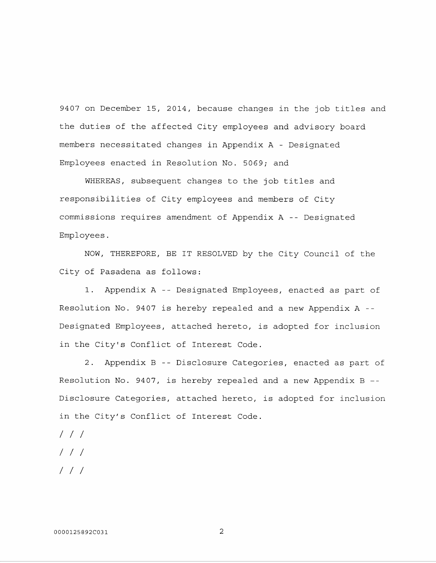9407 on December 15, 2014, because changes in the job titles and the duties of the affected City employees and advisory board members necessitated changes in Appendix A - Designated Employees enacted in Resolution No. 5069; and

WHEREAS, subsequent changes to the job titles and responsibilities of City employees and members of City commissions requires amendment of Appendix A -- Designated Employees.

NOW, THEREFORE, BE IT RESOLVED by the City Council of the City of Pasadena as follows:

1. Appendix A -- Designated Employees, enacted as part of Resolution No. 9407 is hereby repealed and a new Appendix A -- Designated Employees, attached hereto, is adopted for inclusion in the City's Conflict of Interest Code.

2. Appendix B -- Disclosure Categories, enacted as part of Resolution No. 9407, is hereby repealed and a new Appendix B -- Disclosure Categories, attached hereto, is adopted for inclusion in the City's Conflict of Interest Code.

- *I I I*
- *I I I*
- *I I I*